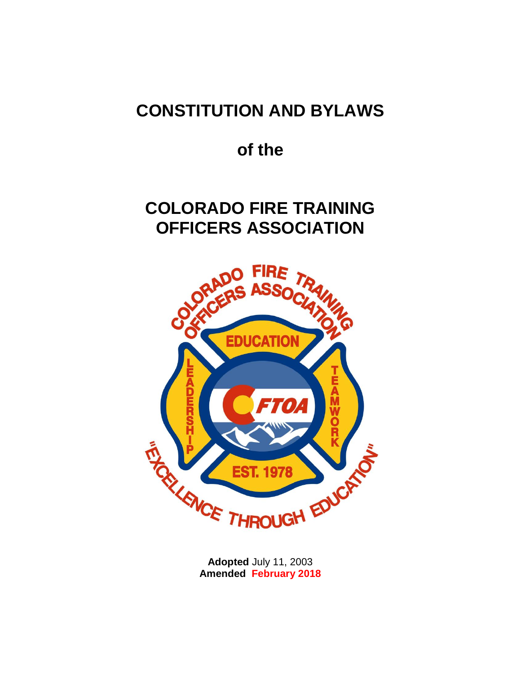# **CONSTITUTION AND BYLAWS**

# **of the**

# **COLORADO FIRE TRAINING OFFICERS ASSOCIATION**



**Adopted** July 11, 2003 **Amended February 2018**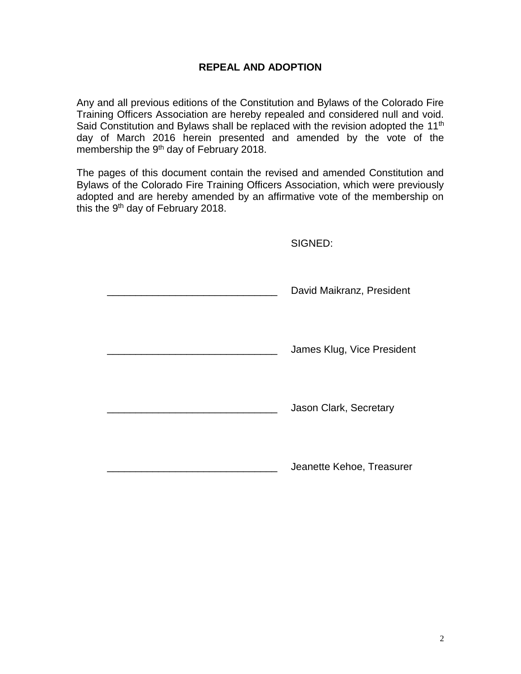## **REPEAL AND ADOPTION**

Any and all previous editions of the Constitution and Bylaws of the Colorado Fire Training Officers Association are hereby repealed and considered null and void. Said Constitution and Bylaws shall be replaced with the revision adopted the 11<sup>th</sup> day of March 2016 herein presented and amended by the vote of the membership the 9<sup>th</sup> day of February 2018.

The pages of this document contain the revised and amended Constitution and Bylaws of the Colorado Fire Training Officers Association, which were previously adopted and are hereby amended by an affirmative vote of the membership on this the 9<sup>th</sup> day of February 2018.

SIGNED:

| ------                     |
|----------------------------|
| David Maikranz, President  |
| James Klug, Vice President |
| Jason Clark, Secretary     |
| Jeanette Kehoe, Treasurer  |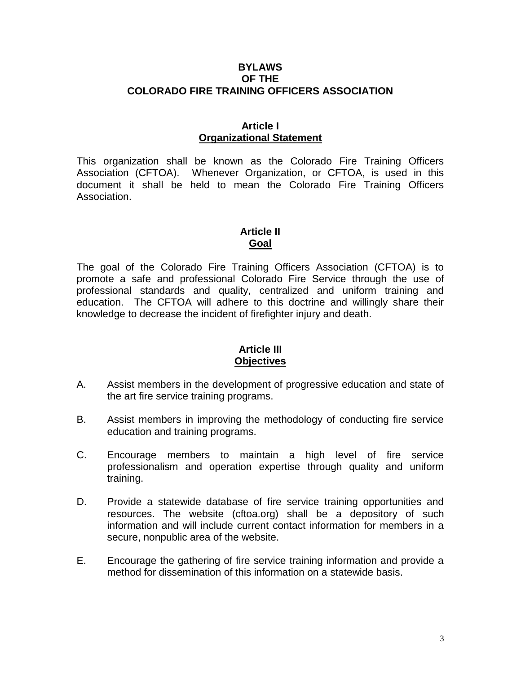### **BYLAWS OF THE COLORADO FIRE TRAINING OFFICERS ASSOCIATION**

#### **Article I Organizational Statement**

This organization shall be known as the Colorado Fire Training Officers Association (CFTOA). Whenever Organization, or CFTOA, is used in this document it shall be held to mean the Colorado Fire Training Officers Association.

# **Article II Goal**

The goal of the Colorado Fire Training Officers Association (CFTOA) is to promote a safe and professional Colorado Fire Service through the use of professional standards and quality, centralized and uniform training and education. The CFTOA will adhere to this doctrine and willingly share their knowledge to decrease the incident of firefighter injury and death.

## **Article III Objectives**

- A. Assist members in the development of progressive education and state of the art fire service training programs.
- B. Assist members in improving the methodology of conducting fire service education and training programs.
- C. Encourage members to maintain a high level of fire service professionalism and operation expertise through quality and uniform training.
- D. Provide a statewide database of fire service training opportunities and resources. The website (cftoa.org) shall be a depository of such information and will include current contact information for members in a secure, nonpublic area of the website.
- E. Encourage the gathering of fire service training information and provide a method for dissemination of this information on a statewide basis.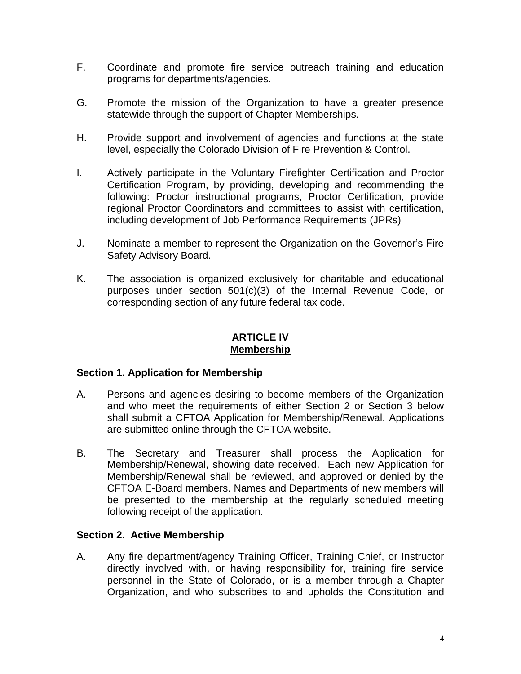- F. Coordinate and promote fire service outreach training and education programs for departments/agencies.
- G. Promote the mission of the Organization to have a greater presence statewide through the support of Chapter Memberships.
- H. Provide support and involvement of agencies and functions at the state level, especially the Colorado Division of Fire Prevention & Control.
- I. Actively participate in the Voluntary Firefighter Certification and Proctor Certification Program, by providing, developing and recommending the following: Proctor instructional programs, Proctor Certification, provide regional Proctor Coordinators and committees to assist with certification, including development of Job Performance Requirements (JPRs)
- J. Nominate a member to represent the Organization on the Governor's Fire Safety Advisory Board.
- K. The association is organized exclusively for charitable and educational purposes under section 501(c)(3) of the Internal Revenue Code, or corresponding section of any future federal tax code.

### **ARTICLE IV Membership**

## **Section 1. Application for Membership**

- A. Persons and agencies desiring to become members of the Organization and who meet the requirements of either Section 2 or Section 3 below shall submit a CFTOA Application for Membership/Renewal. Applications are submitted online through the CFTOA website.
- B. The Secretary and Treasurer shall process the Application for Membership/Renewal, showing date received. Each new Application for Membership/Renewal shall be reviewed, and approved or denied by the CFTOA E-Board members. Names and Departments of new members will be presented to the membership at the regularly scheduled meeting following receipt of the application.

## **Section 2. Active Membership**

A. Any fire department/agency Training Officer, Training Chief, or Instructor directly involved with, or having responsibility for, training fire service personnel in the State of Colorado, or is a member through a Chapter Organization, and who subscribes to and upholds the Constitution and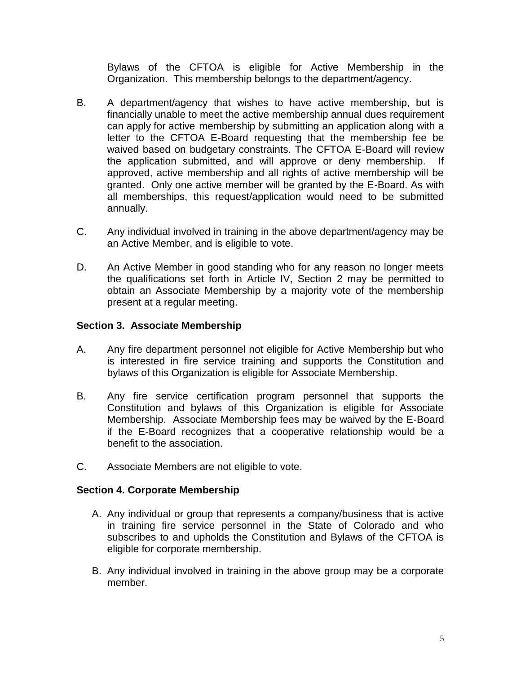Bylaws of the CFTOA is eligible for Active Membership in the Organization. This membership belongs to the department/agency.

- B. A department/agency that wishes to have active membership, but is financially unable to meet the active membership annual dues requirement can apply for active membership by submitting an application along with a letter to the CFTOA E-Board requesting that the membership fee be waived based on budgetary constraints. The CFTOA E-Board will review the application submitted, and will approve or deny membership. If approved, active membership and all rights of active membership will be granted. Only one active member will be granted by the E-Board. As with all memberships, this request/application would need to be submitted annually.
- C. Any individual involved in training in the above department/agency may be an Active Member, and is eligible to vote.
- D. An Active Member in good standing who for any reason no longer meets the qualifications set forth in Article IV, Section 2 may be permitted to obtain an Associate Membership by a majority vote of the membership present at a regular meeting.

# **Section 3. Associate Membership**

- A. Any fire department personnel not eligible for Active Membership but who is interested in fire service training and supports the Constitution and bylaws of this Organization is eligible for Associate Membership.
- B. Any fire service certification program personnel that supports the Constitution and bylaws of this Organization is eligible for Associate Membership. Associate Membership fees may be waived by the E-Board if the E-Board recognizes that a cooperative relationship would be a benefit to the association.
- C. Associate Members are not eligible to vote.

# **Section 4. Corporate Membership**

- A. Any individual or group that represents a company/business that is active in training fire service personnel in the State of Colorado and who subscribes to and upholds the Constitution and Bylaws of the CFTOA is eligible for corporate membership.
- B. Any individual involved in training in the above group may be a corporate member.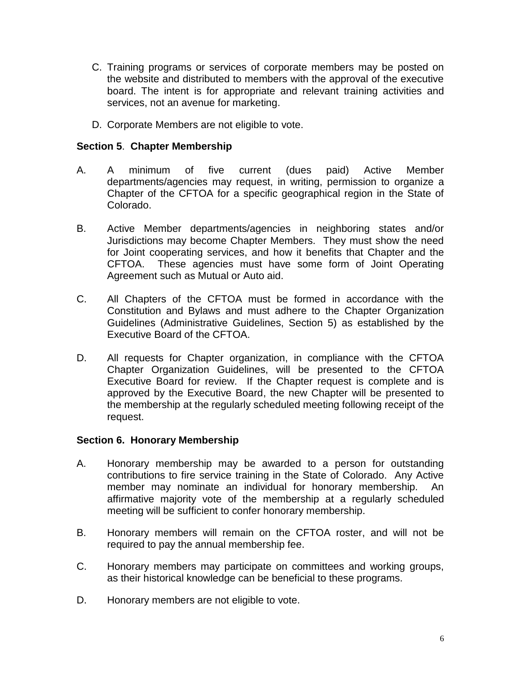- C. Training programs or services of corporate members may be posted on the website and distributed to members with the approval of the executive board. The intent is for appropriate and relevant training activities and services, not an avenue for marketing.
- D. Corporate Members are not eligible to vote.

# **Section 5**. **Chapter Membership**

- A. A minimum of five current (dues paid) Active Member departments/agencies may request, in writing, permission to organize a Chapter of the CFTOA for a specific geographical region in the State of Colorado.
- B. Active Member departments/agencies in neighboring states and/or Jurisdictions may become Chapter Members. They must show the need for Joint cooperating services, and how it benefits that Chapter and the CFTOA. These agencies must have some form of Joint Operating Agreement such as Mutual or Auto aid.
- C. All Chapters of the CFTOA must be formed in accordance with the Constitution and Bylaws and must adhere to the Chapter Organization Guidelines (Administrative Guidelines, Section 5) as established by the Executive Board of the CFTOA.
- D. All requests for Chapter organization, in compliance with the CFTOA Chapter Organization Guidelines, will be presented to the CFTOA Executive Board for review. If the Chapter request is complete and is approved by the Executive Board, the new Chapter will be presented to the membership at the regularly scheduled meeting following receipt of the request.

## **Section 6. Honorary Membership**

- A. Honorary membership may be awarded to a person for outstanding contributions to fire service training in the State of Colorado. Any Active member may nominate an individual for honorary membership. An affirmative majority vote of the membership at a regularly scheduled meeting will be sufficient to confer honorary membership.
- B. Honorary members will remain on the CFTOA roster, and will not be required to pay the annual membership fee.
- C. Honorary members may participate on committees and working groups, as their historical knowledge can be beneficial to these programs.
- D. Honorary members are not eligible to vote.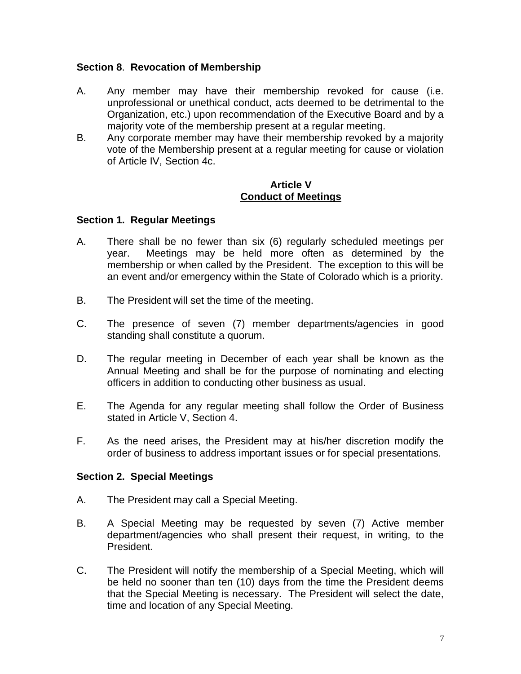## **Section 8**. **Revocation of Membership**

- A. Any member may have their membership revoked for cause (i.e. unprofessional or unethical conduct, acts deemed to be detrimental to the Organization, etc.) upon recommendation of the Executive Board and by a majority vote of the membership present at a regular meeting.
- B. Any corporate member may have their membership revoked by a majority vote of the Membership present at a regular meeting for cause or violation of Article IV, Section 4c.

### **Article V Conduct of Meetings**

### **Section 1. Regular Meetings**

- A. There shall be no fewer than six (6) regularly scheduled meetings per year. Meetings may be held more often as determined by the membership or when called by the President. The exception to this will be an event and/or emergency within the State of Colorado which is a priority.
- B. The President will set the time of the meeting.
- C. The presence of seven (7) member departments/agencies in good standing shall constitute a quorum.
- D. The regular meeting in December of each year shall be known as the Annual Meeting and shall be for the purpose of nominating and electing officers in addition to conducting other business as usual.
- E. The Agenda for any regular meeting shall follow the Order of Business stated in Article V, Section 4.
- F. As the need arises, the President may at his/her discretion modify the order of business to address important issues or for special presentations.

## **Section 2. Special Meetings**

- A. The President may call a Special Meeting.
- B. A Special Meeting may be requested by seven (7) Active member department/agencies who shall present their request, in writing, to the President.
- C. The President will notify the membership of a Special Meeting, which will be held no sooner than ten (10) days from the time the President deems that the Special Meeting is necessary. The President will select the date, time and location of any Special Meeting.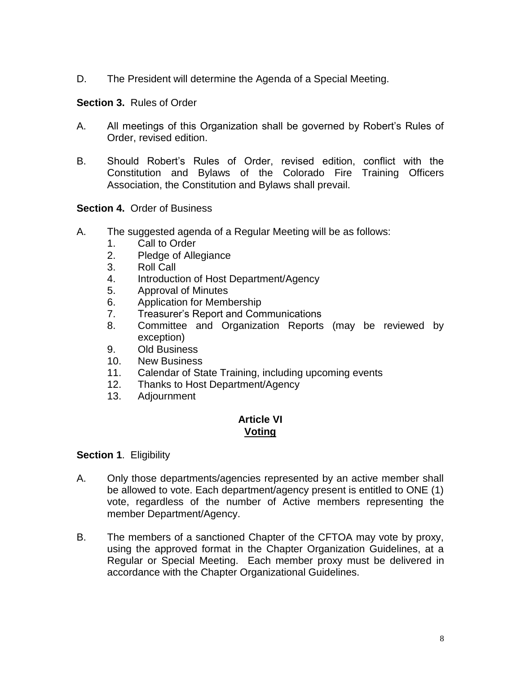D. The President will determine the Agenda of a Special Meeting.

**Section 3.** Rules of Order

- A. All meetings of this Organization shall be governed by Robert's Rules of Order, revised edition.
- B. Should Robert's Rules of Order, revised edition, conflict with the Constitution and Bylaws of the Colorado Fire Training Officers Association, the Constitution and Bylaws shall prevail.

**Section 4.** Order of Business

- A. The suggested agenda of a Regular Meeting will be as follows:
	- 1. Call to Order
	- 2. Pledge of Allegiance
	- 3. Roll Call
	- 4. Introduction of Host Department/Agency
	- 5. Approval of Minutes
	- 6. Application for Membership
	- 7. Treasurer's Report and Communications
	- 8. Committee and Organization Reports (may be reviewed by exception)
	- 9. Old Business
	- 10. New Business
	- 11. Calendar of State Training, including upcoming events
	- 12. Thanks to Host Department/Agency
	- 13. Adjournment

### **Article VI Voting**

**Section 1**. Eligibility

- A. Only those departments/agencies represented by an active member shall be allowed to vote. Each department/agency present is entitled to ONE (1) vote, regardless of the number of Active members representing the member Department/Agency.
- B. The members of a sanctioned Chapter of the CFTOA may vote by proxy, using the approved format in the Chapter Organization Guidelines, at a Regular or Special Meeting. Each member proxy must be delivered in accordance with the Chapter Organizational Guidelines.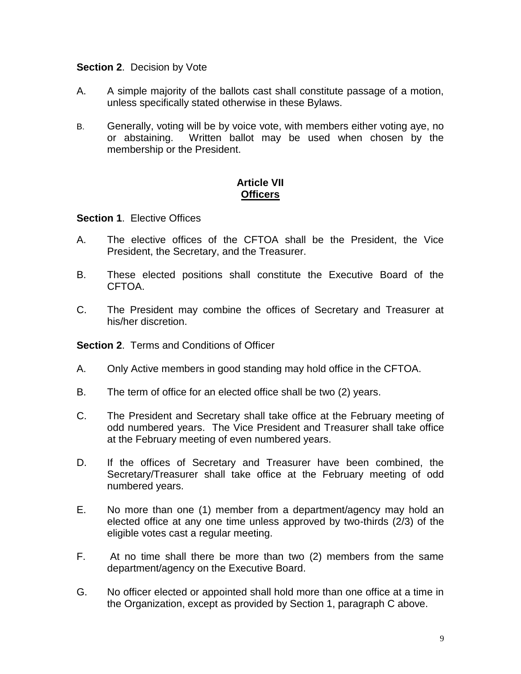## **Section 2**. Decision by Vote

- A. A simple majority of the ballots cast shall constitute passage of a motion, unless specifically stated otherwise in these Bylaws.
- B. Generally, voting will be by voice vote, with members either voting aye, no or abstaining. Written ballot may be used when chosen by the membership or the President.

## **Article VII Officers**

### **Section 1**. Elective Offices

- A. The elective offices of the CFTOA shall be the President, the Vice President, the Secretary, and the Treasurer.
- B. These elected positions shall constitute the Executive Board of the CFTOA.
- C. The President may combine the offices of Secretary and Treasurer at his/her discretion.

**Section 2**. Terms and Conditions of Officer

- A. Only Active members in good standing may hold office in the CFTOA.
- B. The term of office for an elected office shall be two (2) years.
- C. The President and Secretary shall take office at the February meeting of odd numbered years. The Vice President and Treasurer shall take office at the February meeting of even numbered years.
- D. If the offices of Secretary and Treasurer have been combined, the Secretary/Treasurer shall take office at the February meeting of odd numbered years.
- E. No more than one (1) member from a department/agency may hold an elected office at any one time unless approved by two-thirds (2/3) of the eligible votes cast a regular meeting.
- F. At no time shall there be more than two (2) members from the same department/agency on the Executive Board.
- G. No officer elected or appointed shall hold more than one office at a time in the Organization, except as provided by Section 1, paragraph C above.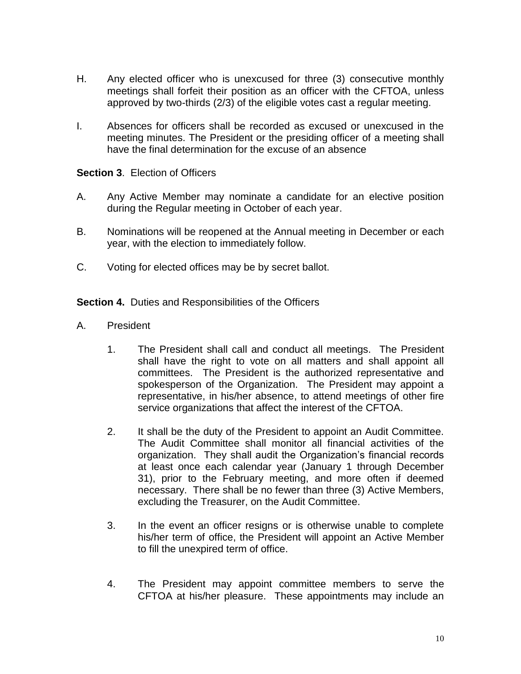- H. Any elected officer who is unexcused for three (3) consecutive monthly meetings shall forfeit their position as an officer with the CFTOA, unless approved by two-thirds (2/3) of the eligible votes cast a regular meeting.
- I. Absences for officers shall be recorded as excused or unexcused in the meeting minutes. The President or the presiding officer of a meeting shall have the final determination for the excuse of an absence

## **Section 3**. Election of Officers

- A. Any Active Member may nominate a candidate for an elective position during the Regular meeting in October of each year.
- B. Nominations will be reopened at the Annual meeting in December or each year, with the election to immediately follow.
- C. Voting for elected offices may be by secret ballot.

**Section 4.** Duties and Responsibilities of the Officers

- A. President
	- 1. The President shall call and conduct all meetings. The President shall have the right to vote on all matters and shall appoint all committees. The President is the authorized representative and spokesperson of the Organization. The President may appoint a representative, in his/her absence, to attend meetings of other fire service organizations that affect the interest of the CFTOA.
	- 2. It shall be the duty of the President to appoint an Audit Committee. The Audit Committee shall monitor all financial activities of the organization. They shall audit the Organization's financial records at least once each calendar year (January 1 through December 31), prior to the February meeting, and more often if deemed necessary. There shall be no fewer than three (3) Active Members, excluding the Treasurer, on the Audit Committee.
	- 3. In the event an officer resigns or is otherwise unable to complete his/her term of office, the President will appoint an Active Member to fill the unexpired term of office.
	- 4. The President may appoint committee members to serve the CFTOA at his/her pleasure. These appointments may include an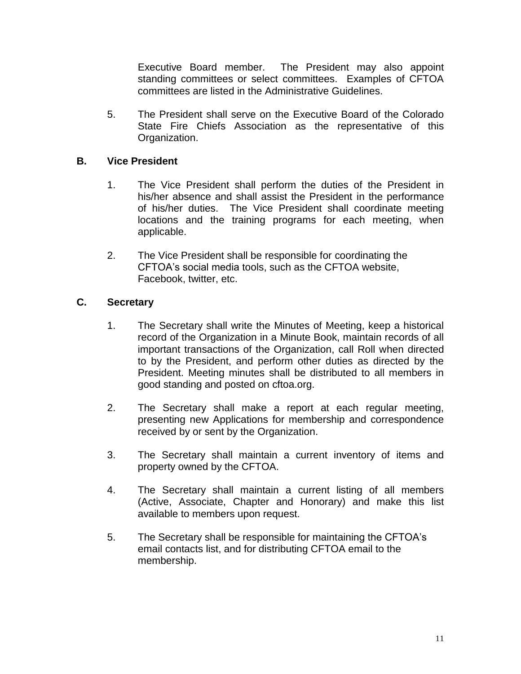Executive Board member. The President may also appoint standing committees or select committees. Examples of CFTOA committees are listed in the Administrative Guidelines.

5. The President shall serve on the Executive Board of the Colorado State Fire Chiefs Association as the representative of this Organization.

# **B. Vice President**

- 1. The Vice President shall perform the duties of the President in his/her absence and shall assist the President in the performance of his/her duties. The Vice President shall coordinate meeting locations and the training programs for each meeting, when applicable.
- 2. The Vice President shall be responsible for coordinating the CFTOA's social media tools, such as the CFTOA website, Facebook, twitter, etc.

# **C. Secretary**

- 1. The Secretary shall write the Minutes of Meeting, keep a historical record of the Organization in a Minute Book, maintain records of all important transactions of the Organization, call Roll when directed to by the President, and perform other duties as directed by the President. Meeting minutes shall be distributed to all members in good standing and posted on cftoa.org.
- 2. The Secretary shall make a report at each regular meeting, presenting new Applications for membership and correspondence received by or sent by the Organization.
- 3. The Secretary shall maintain a current inventory of items and property owned by the CFTOA.
- 4. The Secretary shall maintain a current listing of all members (Active, Associate, Chapter and Honorary) and make this list available to members upon request.
- 5. The Secretary shall be responsible for maintaining the CFTOA's email contacts list, and for distributing CFTOA email to the membership.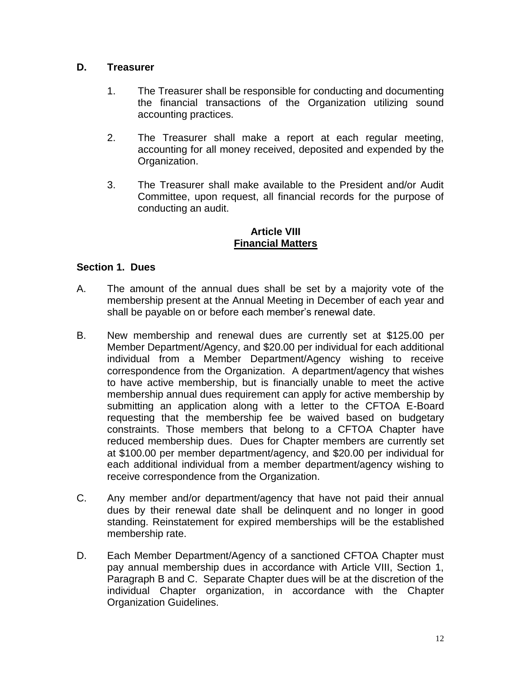# **D. Treasurer**

- 1. The Treasurer shall be responsible for conducting and documenting the financial transactions of the Organization utilizing sound accounting practices.
- 2. The Treasurer shall make a report at each regular meeting, accounting for all money received, deposited and expended by the Organization.
- 3. The Treasurer shall make available to the President and/or Audit Committee, upon request, all financial records for the purpose of conducting an audit.

## **Article VIII Financial Matters**

# **Section 1. Dues**

- A. The amount of the annual dues shall be set by a majority vote of the membership present at the Annual Meeting in December of each year and shall be payable on or before each member's renewal date.
- B. New membership and renewal dues are currently set at \$125.00 per Member Department/Agency, and \$20.00 per individual for each additional individual from a Member Department/Agency wishing to receive correspondence from the Organization. A department/agency that wishes to have active membership, but is financially unable to meet the active membership annual dues requirement can apply for active membership by submitting an application along with a letter to the CFTOA E-Board requesting that the membership fee be waived based on budgetary constraints. Those members that belong to a CFTOA Chapter have reduced membership dues. Dues for Chapter members are currently set at \$100.00 per member department/agency, and \$20.00 per individual for each additional individual from a member department/agency wishing to receive correspondence from the Organization.
- C. Any member and/or department/agency that have not paid their annual dues by their renewal date shall be delinquent and no longer in good standing. Reinstatement for expired memberships will be the established membership rate.
- D. Each Member Department/Agency of a sanctioned CFTOA Chapter must pay annual membership dues in accordance with Article VIII, Section 1, Paragraph B and C. Separate Chapter dues will be at the discretion of the individual Chapter organization, in accordance with the Chapter Organization Guidelines.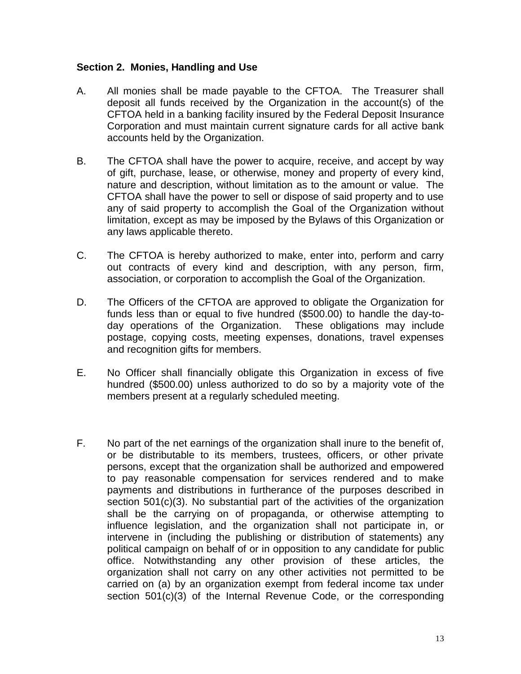## **Section 2. Monies, Handling and Use**

- A. All monies shall be made payable to the CFTOA. The Treasurer shall deposit all funds received by the Organization in the account(s) of the CFTOA held in a banking facility insured by the Federal Deposit Insurance Corporation and must maintain current signature cards for all active bank accounts held by the Organization.
- B. The CFTOA shall have the power to acquire, receive, and accept by way of gift, purchase, lease, or otherwise, money and property of every kind, nature and description, without limitation as to the amount or value. The CFTOA shall have the power to sell or dispose of said property and to use any of said property to accomplish the Goal of the Organization without limitation, except as may be imposed by the Bylaws of this Organization or any laws applicable thereto.
- C. The CFTOA is hereby authorized to make, enter into, perform and carry out contracts of every kind and description, with any person, firm, association, or corporation to accomplish the Goal of the Organization.
- D. The Officers of the CFTOA are approved to obligate the Organization for funds less than or equal to five hundred (\$500.00) to handle the day-today operations of the Organization. These obligations may include postage, copying costs, meeting expenses, donations, travel expenses and recognition gifts for members.
- E. No Officer shall financially obligate this Organization in excess of five hundred (\$500.00) unless authorized to do so by a majority vote of the members present at a regularly scheduled meeting.
- F. No part of the net earnings of the organization shall inure to the benefit of, or be distributable to its members, trustees, officers, or other private persons, except that the organization shall be authorized and empowered to pay reasonable compensation for services rendered and to make payments and distributions in furtherance of the purposes described in section 501(c)(3). No substantial part of the activities of the organization shall be the carrying on of propaganda, or otherwise attempting to influence legislation, and the organization shall not participate in, or intervene in (including the publishing or distribution of statements) any political campaign on behalf of or in opposition to any candidate for public office. Notwithstanding any other provision of these articles, the organization shall not carry on any other activities not permitted to be carried on (a) by an organization exempt from federal income tax under section 501(c)(3) of the Internal Revenue Code, or the corresponding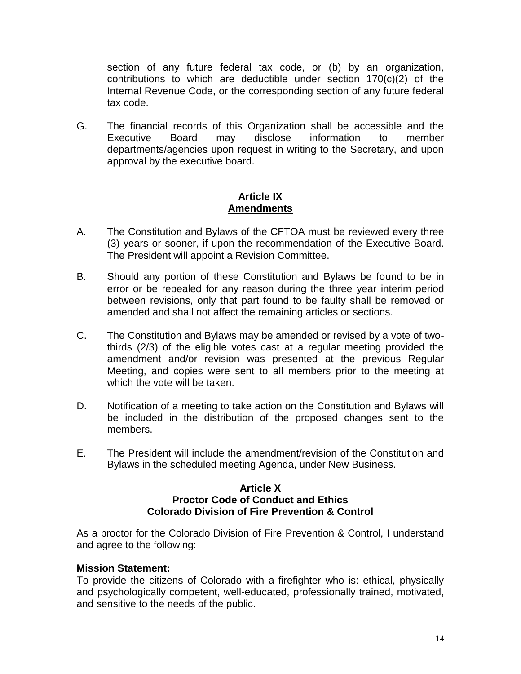section of any future federal tax code, or (b) by an organization, contributions to which are deductible under section  $170(c)(2)$  of the Internal Revenue Code, or the corresponding section of any future federal tax code.

G. The financial records of this Organization shall be accessible and the Executive Board may disclose information to member departments/agencies upon request in writing to the Secretary, and upon approval by the executive board.

## **Article IX Amendments**

- A. The Constitution and Bylaws of the CFTOA must be reviewed every three (3) years or sooner, if upon the recommendation of the Executive Board. The President will appoint a Revision Committee.
- B. Should any portion of these Constitution and Bylaws be found to be in error or be repealed for any reason during the three year interim period between revisions, only that part found to be faulty shall be removed or amended and shall not affect the remaining articles or sections.
- C. The Constitution and Bylaws may be amended or revised by a vote of twothirds (2/3) of the eligible votes cast at a regular meeting provided the amendment and/or revision was presented at the previous Regular Meeting, and copies were sent to all members prior to the meeting at which the vote will be taken.
- D. Notification of a meeting to take action on the Constitution and Bylaws will be included in the distribution of the proposed changes sent to the members.
- E. The President will include the amendment/revision of the Constitution and Bylaws in the scheduled meeting Agenda, under New Business.

## **Article X Proctor Code of Conduct and Ethics Colorado Division of Fire Prevention & Control**

As a proctor for the Colorado Division of Fire Prevention & Control, I understand and agree to the following:

## **Mission Statement:**

To provide the citizens of Colorado with a firefighter who is: ethical, physically and psychologically competent, well-educated, professionally trained, motivated, and sensitive to the needs of the public.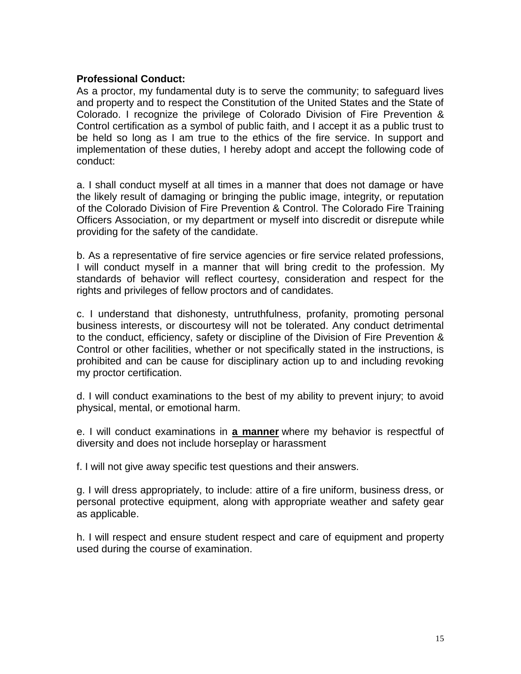## **Professional Conduct:**

As a proctor, my fundamental duty is to serve the community; to safeguard lives and property and to respect the Constitution of the United States and the State of Colorado. I recognize the privilege of Colorado Division of Fire Prevention & Control certification as a symbol of public faith, and I accept it as a public trust to be held so long as I am true to the ethics of the fire service. In support and implementation of these duties, I hereby adopt and accept the following code of conduct:

a. I shall conduct myself at all times in a manner that does not damage or have the likely result of damaging or bringing the public image, integrity, or reputation of the Colorado Division of Fire Prevention & Control. The Colorado Fire Training Officers Association, or my department or myself into discredit or disrepute while providing for the safety of the candidate.

b. As a representative of fire service agencies or fire service related professions, I will conduct myself in a manner that will bring credit to the profession. My standards of behavior will reflect courtesy, consideration and respect for the rights and privileges of fellow proctors and of candidates.

c. I understand that dishonesty, untruthfulness, profanity, promoting personal business interests, or discourtesy will not be tolerated. Any conduct detrimental to the conduct, efficiency, safety or discipline of the Division of Fire Prevention & Control or other facilities, whether or not specifically stated in the instructions, is prohibited and can be cause for disciplinary action up to and including revoking my proctor certification.

d. I will conduct examinations to the best of my ability to prevent injury; to avoid physical, mental, or emotional harm.

e. I will conduct examinations in **a manner** where my behavior is respectful of diversity and does not include horseplay or harassment

f. I will not give away specific test questions and their answers.

g. I will dress appropriately, to include: attire of a fire uniform, business dress, or personal protective equipment, along with appropriate weather and safety gear as applicable.

h. I will respect and ensure student respect and care of equipment and property used during the course of examination.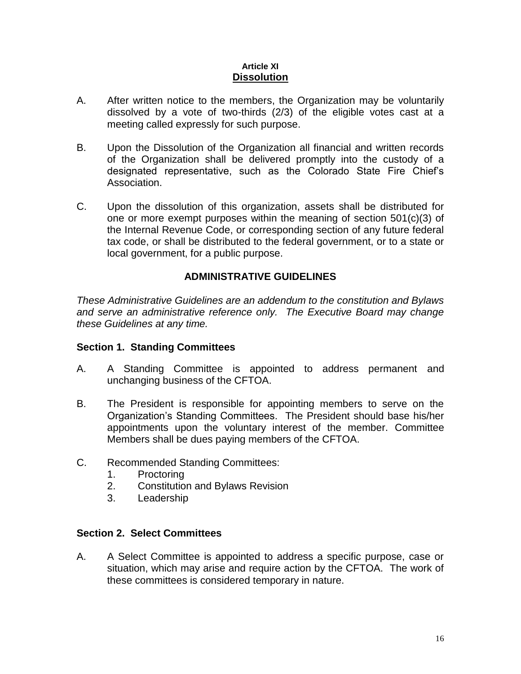#### **Article XI Dissolution**

- A. After written notice to the members, the Organization may be voluntarily dissolved by a vote of two-thirds (2/3) of the eligible votes cast at a meeting called expressly for such purpose.
- B. Upon the Dissolution of the Organization all financial and written records of the Organization shall be delivered promptly into the custody of a designated representative, such as the Colorado State Fire Chief's Association.
- C. Upon the dissolution of this organization, assets shall be distributed for one or more exempt purposes within the meaning of section 501(c)(3) of the Internal Revenue Code, or corresponding section of any future federal tax code, or shall be distributed to the federal government, or to a state or local government, for a public purpose.

# **ADMINISTRATIVE GUIDELINES**

*These Administrative Guidelines are an addendum to the constitution and Bylaws and serve an administrative reference only. The Executive Board may change these Guidelines at any time.* 

## **Section 1. Standing Committees**

- A. A Standing Committee is appointed to address permanent and unchanging business of the CFTOA.
- B. The President is responsible for appointing members to serve on the Organization's Standing Committees. The President should base his/her appointments upon the voluntary interest of the member. Committee Members shall be dues paying members of the CFTOA.
- C. Recommended Standing Committees:
	- 1. Proctoring
	- 2. Constitution and Bylaws Revision
	- 3. Leadership

# **Section 2. Select Committees**

A. A Select Committee is appointed to address a specific purpose, case or situation, which may arise and require action by the CFTOA. The work of these committees is considered temporary in nature.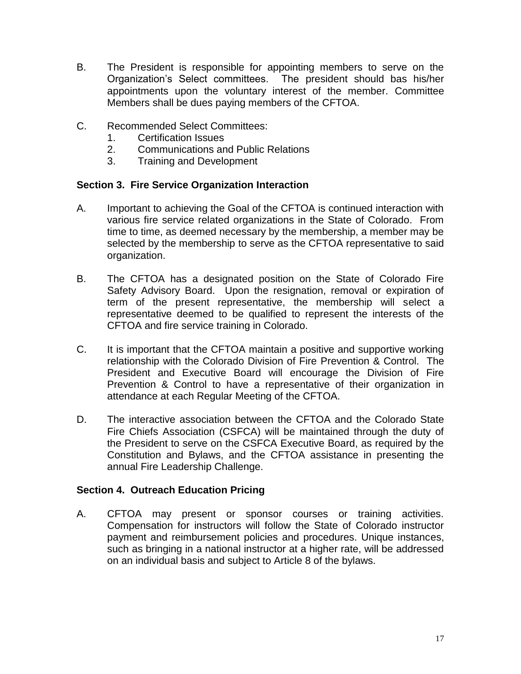- B. The President is responsible for appointing members to serve on the Organization's Select committees. The president should bas his/her appointments upon the voluntary interest of the member. Committee Members shall be dues paying members of the CFTOA.
- C. Recommended Select Committees:
	- 1. Certification Issues
	- 2. Communications and Public Relations
	- 3. Training and Development

# **Section 3. Fire Service Organization Interaction**

- A. Important to achieving the Goal of the CFTOA is continued interaction with various fire service related organizations in the State of Colorado. From time to time, as deemed necessary by the membership, a member may be selected by the membership to serve as the CFTOA representative to said organization.
- B. The CFTOA has a designated position on the State of Colorado Fire Safety Advisory Board. Upon the resignation, removal or expiration of term of the present representative, the membership will select a representative deemed to be qualified to represent the interests of the CFTOA and fire service training in Colorado.
- C. It is important that the CFTOA maintain a positive and supportive working relationship with the Colorado Division of Fire Prevention & Control. The President and Executive Board will encourage the Division of Fire Prevention & Control to have a representative of their organization in attendance at each Regular Meeting of the CFTOA.
- D. The interactive association between the CFTOA and the Colorado State Fire Chiefs Association (CSFCA) will be maintained through the duty of the President to serve on the CSFCA Executive Board, as required by the Constitution and Bylaws, and the CFTOA assistance in presenting the annual Fire Leadership Challenge.

# **Section 4. Outreach Education Pricing**

A. CFTOA may present or sponsor courses or training activities. Compensation for instructors will follow the State of Colorado instructor payment and reimbursement policies and procedures. Unique instances, such as bringing in a national instructor at a higher rate, will be addressed on an individual basis and subject to Article 8 of the bylaws.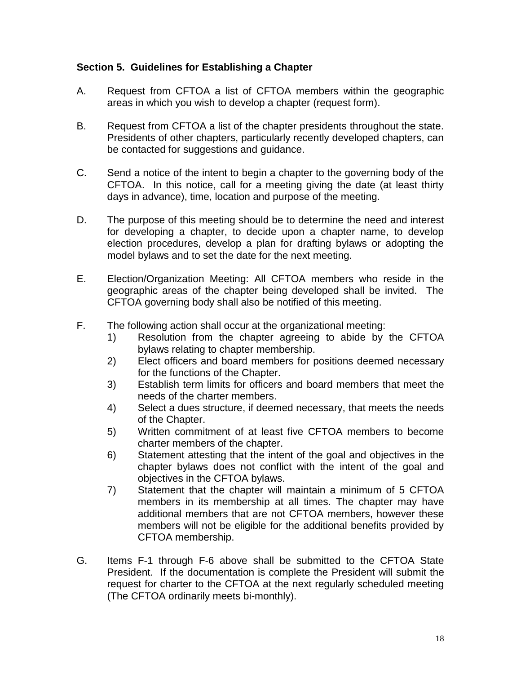# **Section 5. Guidelines for Establishing a Chapter**

- A. Request from CFTOA a list of CFTOA members within the geographic areas in which you wish to develop a chapter (request form).
- B. Request from CFTOA a list of the chapter presidents throughout the state. Presidents of other chapters, particularly recently developed chapters, can be contacted for suggestions and guidance.
- C. Send a notice of the intent to begin a chapter to the governing body of the CFTOA. In this notice, call for a meeting giving the date (at least thirty days in advance), time, location and purpose of the meeting.
- D. The purpose of this meeting should be to determine the need and interest for developing a chapter, to decide upon a chapter name, to develop election procedures, develop a plan for drafting bylaws or adopting the model bylaws and to set the date for the next meeting.
- E. Election/Organization Meeting: All CFTOA members who reside in the geographic areas of the chapter being developed shall be invited. The CFTOA governing body shall also be notified of this meeting.
- F. The following action shall occur at the organizational meeting:
	- 1) Resolution from the chapter agreeing to abide by the CFTOA bylaws relating to chapter membership.
	- 2) Elect officers and board members for positions deemed necessary for the functions of the Chapter.
	- 3) Establish term limits for officers and board members that meet the needs of the charter members.
	- 4) Select a dues structure, if deemed necessary, that meets the needs of the Chapter.
	- 5) Written commitment of at least five CFTOA members to become charter members of the chapter.
	- 6) Statement attesting that the intent of the goal and objectives in the chapter bylaws does not conflict with the intent of the goal and objectives in the CFTOA bylaws.
	- 7) Statement that the chapter will maintain a minimum of 5 CFTOA members in its membership at all times. The chapter may have additional members that are not CFTOA members, however these members will not be eligible for the additional benefits provided by CFTOA membership.
- G. Items F-1 through F-6 above shall be submitted to the CFTOA State President. If the documentation is complete the President will submit the request for charter to the CFTOA at the next regularly scheduled meeting (The CFTOA ordinarily meets bi-monthly).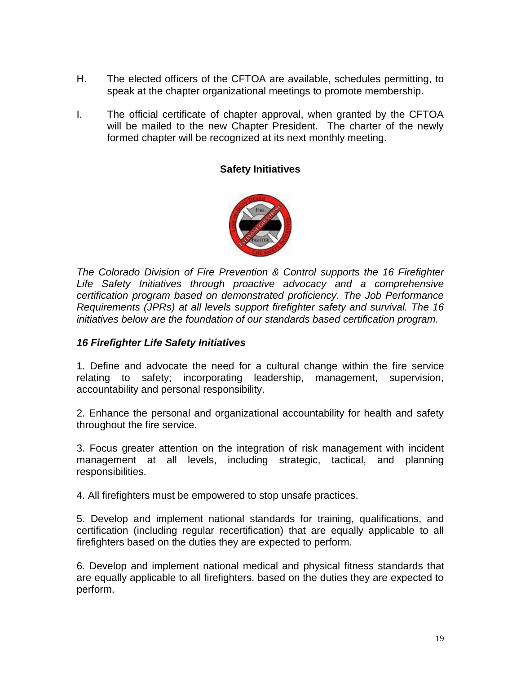- H. The elected officers of the CFTOA are available, schedules permitting, to speak at the chapter organizational meetings to promote membership.
- I. The official certificate of chapter approval, when granted by the CFTOA will be mailed to the new Chapter President. The charter of the newly formed chapter will be recognized at its next monthly meeting.

# **Safety Initiatives**



*The Colorado Division of Fire Prevention & Control supports the 16 Firefighter Life Safety Initiatives through proactive advocacy and a comprehensive certification program based on demonstrated proficiency. The Job Performance Requirements (JPRs) at all levels support firefighter safety and survival. The 16 initiatives below are the foundation of our standards based certification program.*

## *16 Firefighter Life Safety Initiatives*

1. Define and advocate the need for a cultural change within the fire service relating to safety; incorporating leadership, management, supervision, accountability and personal responsibility.

2. Enhance the personal and organizational accountability for health and safety throughout the fire service.

3. Focus greater attention on the integration of risk management with incident management at all levels, including strategic, tactical, and planning responsibilities.

4. All firefighters must be empowered to stop unsafe practices.

5. Develop and implement national standards for training, qualifications, and certification (including regular recertification) that are equally applicable to all firefighters based on the duties they are expected to perform.

6. Develop and implement national medical and physical fitness standards that are equally applicable to all firefighters, based on the duties they are expected to perform.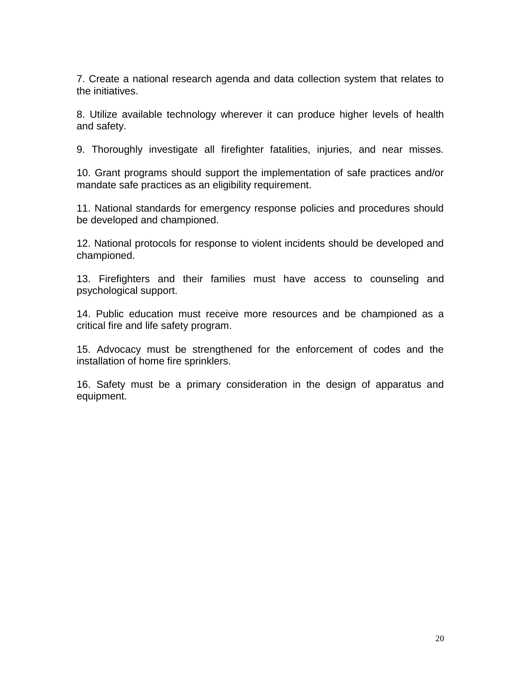7. Create a national research agenda and data collection system that relates to the initiatives.

8. Utilize available technology wherever it can produce higher levels of health and safety.

9. Thoroughly investigate all firefighter fatalities, injuries, and near misses.

10. Grant programs should support the implementation of safe practices and/or mandate safe practices as an eligibility requirement.

11. National standards for emergency response policies and procedures should be developed and championed.

12. National protocols for response to violent incidents should be developed and championed.

13. Firefighters and their families must have access to counseling and psychological support.

14. Public education must receive more resources and be championed as a critical fire and life safety program.

15. Advocacy must be strengthened for the enforcement of codes and the installation of home fire sprinklers.

16. Safety must be a primary consideration in the design of apparatus and equipment.